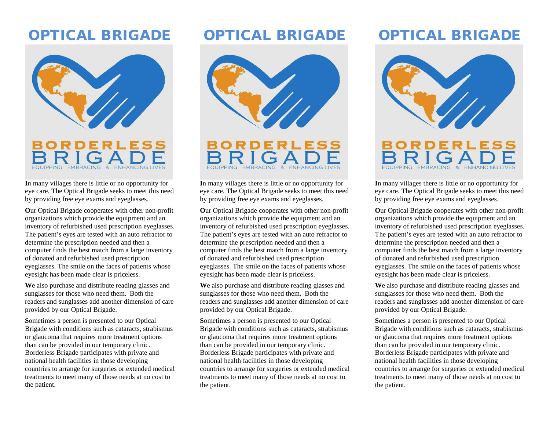## OPTICAL BRIGADE



**I**n many villages there is little or no opportunity for eye care. The Optical Brigade seeks to meet this need by providing free eye exams and eyeglasses.

**O**ur Optical Brigade cooperates with other non-profit organizations which provide the equipment and an inventory of refurbished used prescription eyeglasses. The patient's eyes are tested with an auto refractor to determine the prescription needed and then a computer finds the best match from a large inventory of donated and refurbished used prescription eyeglasses. The smile on the faces of patients whose eyesight has been made clear is priceless.

**W**e also purchase and distribute reading glasses and sunglasses for those who need them. Both the readers and sunglasses add another dimension of care provided by our Optical Brigade.

**S**ometimes a person is presented to our Optical Brigade with conditions such as cataracts, strabismus or glaucoma that requires more treatment options than can be provided in our temporary clinic. Borderless Brigade participates with private and national health facilities in those developing countries to arrange for surgeries or extended medical treatments to meet many of those needs at no cost to the patient.

## OPTICAL BRIGADE





**I**n many villages there is little or no opportunity for eye care. The Optical Brigade seeks to meet this need by providing free eye exams and eyeglasses.

**O**ur Optical Brigade cooperates with other non-profit organizations which provide the equipment and an inventory of refurbished used prescription eyeglasses. The patient's eyes are tested with an auto refractor to determine the prescription needed and then a computer finds the best match from a large inventory of donated and refurbished used prescription eyeglasses. The smile on the faces of patients whose eyesight has been made clear is priceless.

**W**e also purchase and distribute reading glasses and sunglasses for those who need them. Both the readers and sunglasses add another dimension of care provided by our Optical Brigade.

**S**ometimes a person is presented to our Optical Brigade with conditions such as cataracts, strabismus or glaucoma that requires more treatment options than can be provided in our temporary clinic. Borderless Brigade participates with private and national health facilities in those developing countries to arrange for surgeries or extended medical treatments to meet many of those needs at no cost to the patient.

# OPTICAL BRIGADE



**I**n many villages there is little or no opportunity for eye care. The Optical Brigade seeks to meet this need by providing free eye exams and eyeglasses.

**O**ur Optical Brigade cooperates with other non-profit organizations which provide the equipment and an inventory of refurbished used prescription eyeglasses. The patient's eyes are tested with an auto refractor to determine the prescription needed and then a computer finds the best match from a large inventory of donated and refurbished used prescription eyeglasses. The smile on the faces of patients whose eyesight has been made clear is priceless.

**W**e also purchase and distribute reading glasses and sunglasses for those who need them. Both the readers and sunglasses add another dimension of care provided by our Optical Brigade.

**S**ometimes a person is presented to our Optical Brigade with conditions such as cataracts, strabismus or glaucoma that requires more treatment options than can be provided in our temporary clinic. Borderless Brigade participates with private and national health facilities in those developing countries to arrange for surgeries or extended medical treatments to meet many of those needs at no cost to the patient.